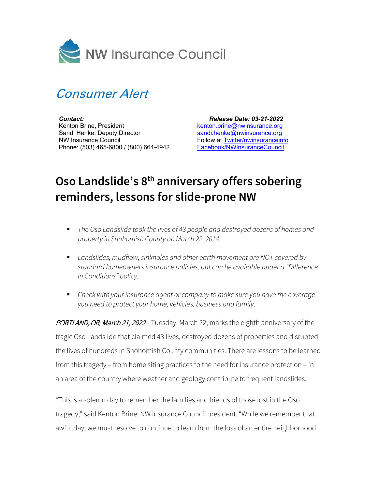



*Contact:* Kenton Brine, President Sandi Henke, Deputy Director NW Insurance Council Phone: (503) 465-6800 / (800) 664-4942

 *Release Date: 03-21-2022* [kenton.brine@nwinsurance.org](mailto:kenton.brine@nwinsurance.org) [sandi.henke@nwinsurance.org](mailto:sandi.henke@nwinsurance.org) Follow at [Twitter/nwinsuranceinfo](http://twitter.com/#!/nwinsuranceinfo) [Facebook/NWInsuranceCouncil](https://www.facebook.com/NWInsuranceCouncil)

## **Oso Landslide's 8th anniversary offers sobering reminders, lessons for slide-prone NW**

- *The Oso Landslide took the lives of 43 people and destroyed dozens of homes and property in Snohomish County on March 22, 2014.*
- *Landslides, mudflow, sinkholes and other earth movement are NOT covered by standard homeowners insurance policies, but can be available under a "Difference in Conditions" policy.*
- *Check with your insurance agent or company to make sure you have the coverage you need to protect your home, vehicles, business and family*.

PORTLAND, OR, March 21, 2022 - Tuesday, March 22, marks the eighth anniversary of the tragic Oso Landslide that claimed 43 lives, destroyed dozens of properties and disrupted the lives of hundreds in Snohomish County communities. There are lessons to be learned from this tragedy – from home siting practices to the need for insurance protection – in an area of the country where weather and geology contribute to frequent landslides.

"This is a solemn day to remember the families and friends of those lost in the Oso tragedy," said Kenton Brine, NW Insurance Council president. "While we remember that awful day, we must resolve to continue to learn from the loss of an entire neighborhood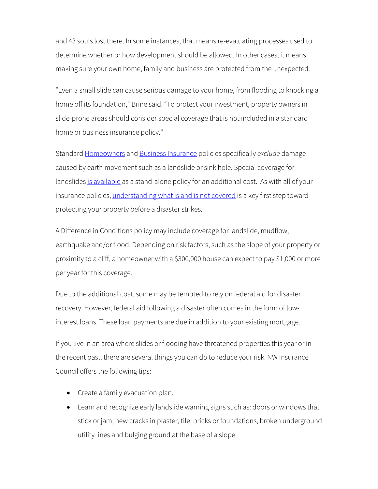and 43 souls lost there. In some instances, that means re-evaluating processes used to determine whether or how development should be allowed. In other cases, it means making sure your own home, family and business are protected from the unexpected.

"Even a small slide can cause serious damage to your home, from flooding to knocking a home off its foundation," Brine said. "To protect your investment, property owners in slide-prone areas should consider special coverage that is not included in a standard home or business insurance policy."

Standard [Homeowners](http://www.nwinsurance.org/in_homecoverage.htm) and [Business Insurance](http://www.nwinsurance.org/in_hbus.htm) policies specifically *exclude* damage caused by earth movement such as a landslide or sink hole. Special coverage for landslide[s is available](http://insurancemarketplace.com/Anonymous/Home/resultsearch.aspx?CoverageID=137&StateID=50) as a stand-alone policy for an additional cost. As with all of your insurance policies, [understanding what is and is not covered](http://www.nwinsurance.org/cm_disa.htm) is a key first step toward protecting your property before a disaster strikes.

A Difference in Conditions policy may include coverage for landslide, mudflow, earthquake and/or flood. Depending on risk factors, such as the slope of your property or proximity to a cliff, a homeowner with a \$300,000 house can expect to pay \$1,000 or more per year for this coverage.

Due to the additional cost, some may be tempted to rely on federal aid for disaster recovery. However, federal aid following a disaster often comes in the form of lowinterest loans. These loan payments are due in addition to your existing mortgage.

If you live in an area where slides or flooding have threatened properties this year or in the recent past, there are several things you can do to reduce your risk. NW Insurance Council offers the following tips:

- Create a family evacuation plan.
- Learn and recognize early landslide warning signs such as: doors or windows that stick or jam, new cracks in plaster, tile, bricks or foundations, broken underground utility lines and bulging ground at the base of a slope.